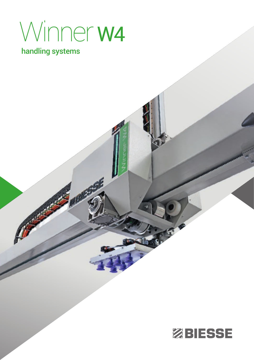# Winner W4

### handling systems

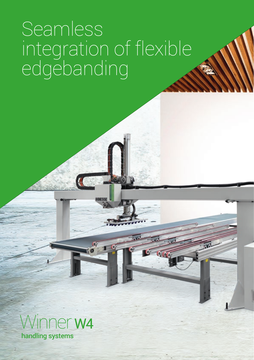### Seamless integration of flexible edgebanding

 $\overline{\mathcal{C}_1 \mathcal{C}_2}$ 



2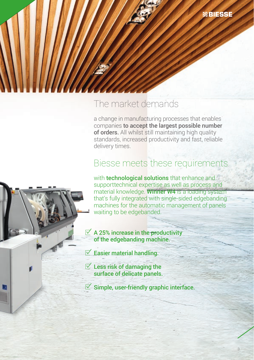

a change in manufacturing processes that enables companies to accept the largest possible number of orders. All whilst still maintaining high quality standards, increased productivity and fast, reliable delivery times.

**ZBIESSE** 

### Biesse meets these requirements

with **technological solutions** that enhance and supporttechnical expertise as well as process and material knowledge. Winner W4 is a loading system that's fully integrated with single-sided edgebanding machines for the automatic management of panels waiting to be edgebanded.

 $\overrightarrow{A}$  A 25% increase in the productivity of the edgebanding machine.

 $\mathbb Z$  Easier material handling.

 $\overline{\mathbb{C}}$  Less risk of damaging the surface of delicate panels.

 $\leq$  Simple, user-friendly graphic interface.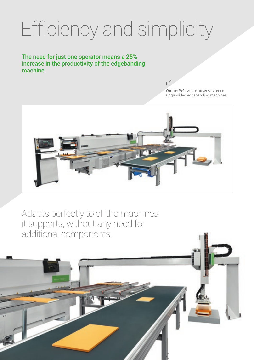## Efficiency and simplicity

The need for just one operator means a 25% increase in the productivity of the edgebanding machine.

> Winner W4 for the range of Biesse single-sided edgebanding machines.



Adapts perfectly to all the machines it supports, without any need for additional components.

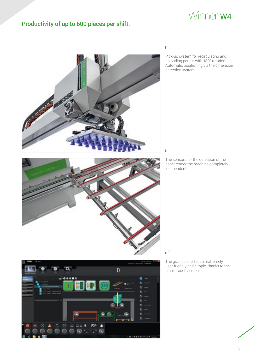### Winner W4

#### Productivity of up to 600 pieces per shift.

 $\swarrow$ 

Pick-up system for recirculating and unloading panels with 180° rotation. Automatic positioning via the dimension detection system.





 $\sqrt{}$ 

 $\vee$ 

The sensors for the detection of the panel render the machine completely independent.

The graphic interface is extremely user-friendly and simple, thanks to the smart-touch screen.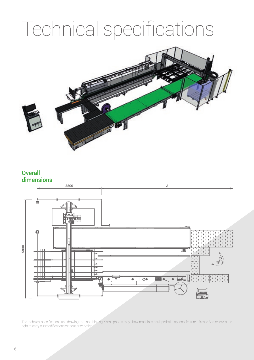## Technical specifications



#### **Overall** dimensions



The technical specifications and drawings are non-binding. Some photos may show machines equipped with optional features. Biesse Spa reserves the right to carry out modifications without prior notice.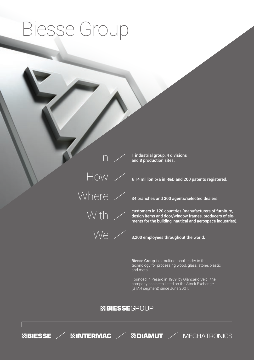## Biesse Group

 $\overline{\ln}$  $\overline{\text{How}}$ Where / With >

1 industrial group, 4 divisions and 8 production sites.

€ 14 million p/a in R&D and 200 patents registered.

34 branches and 300 agents/selected dealers.

customers in 120 countries (manufacturers of furniture, design items and door/window frames, producers of elements for the building, nautical and aerospace industries).



3,200 employees throughout the world.

Biesse Group is a multinational leader in the technology for processing wood, glass, stone, plastic and metal.

Founded in Pesaro in 1969, by Giancarlo Selci, the company has been listed on the Stock Exchange (STAR segment) since June 2001.

#### ZBIESSEGROUP